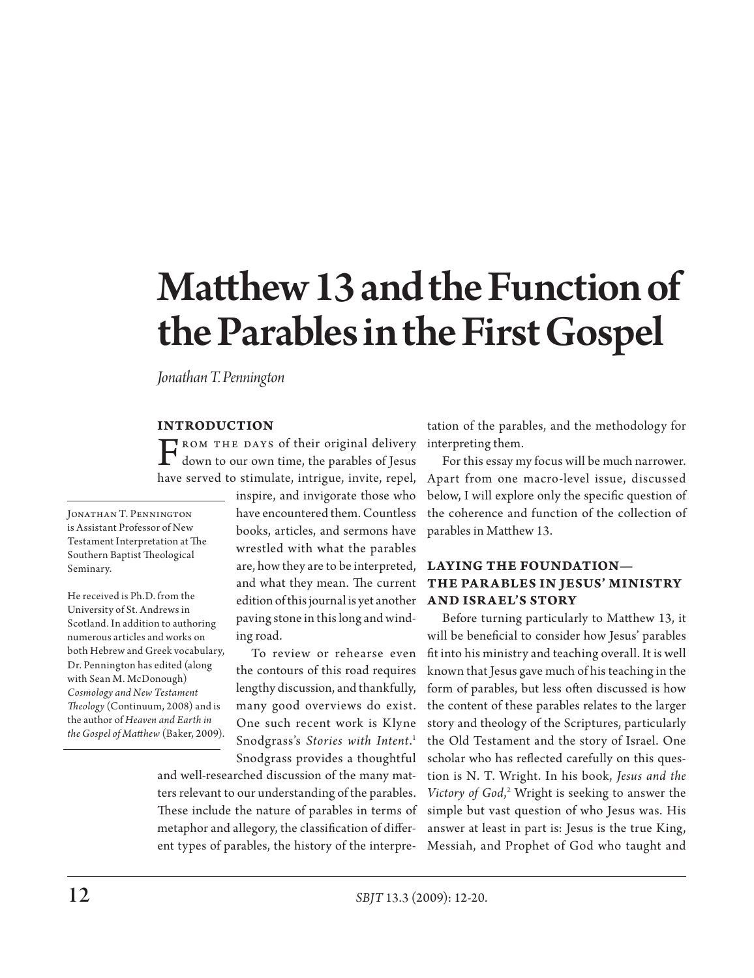# Matthew 13 and the Function of the Parables in the First Gospel

*Jonathan T. Pennington* 

#### **INTRODUCTION**

 $\Gamma_{\text{down}}$  to  $\pi$  the parables of Jesus have some detailed to the parables of Jesus have some detailed in the parables of Jesus have served to stimulate, intrigue, invite, repel,

JONATHAN T. PENNINGTON is Assistant Professor of New Testament Interpretation at The Southern Baptist Theological Seminary.

He received is Ph.D. from the University of St. Andrews in Scotland. In addition to authoring numerous articles and works on both Hebrew and Greek vocabulary, Dr. Pennington has edited (along with Sean M. McDonough) *Cosmology and New Testament Theology* (Continuum, 2008) and is the author of *Heaven and Earth in the Gospel of Matthew* (Baker, 2009). inspire, and invigorate those who have encountered them. Countless books, articles, and sermons have wrestled with what the parables are, how they are to be interpreted, and what they mean. The current edition of this journal is yet another paving stone in this long and winding road.

To review or rehearse even the contours of this road requires lengthy discussion, and thankfully, many good overviews do exist. One such recent work is Klyne Snodgrass's *Stories with Intent*. 1 Snodgrass provides a thoughtful

and well-researched discussion of the many matters relevant to our understanding of the parables. These include the nature of parables in terms of metaphor and allegory, the classification of different types of parables, the history of the interpre-

tation of the parables, and the methodology for interpreting them.

For this essay my focus will be much narrower. Apart from one macro-level issue, discussed below, I will explore only the specific question of the coherence and function of the collection of parables in Matthew 13.

# **Laying the Foundation— The Parables in Jesus' Ministry and Israel's Story**

Before turning particularly to Matthew 13, it will be beneficial to consider how Jesus' parables fit into his ministry and teaching overall. It is well known that Jesus gave much of his teaching in the form of parables, but less often discussed is how the content of these parables relates to the larger story and theology of the Scriptures, particularly the Old Testament and the story of Israel. One scholar who has reflected carefully on this question is N. T. Wright. In his book, *Jesus and the Victory of God*, <sup>2</sup> Wright is seeking to answer the simple but vast question of who Jesus was. His answer at least in part is: Jesus is the true King, Messiah, and Prophet of God who taught and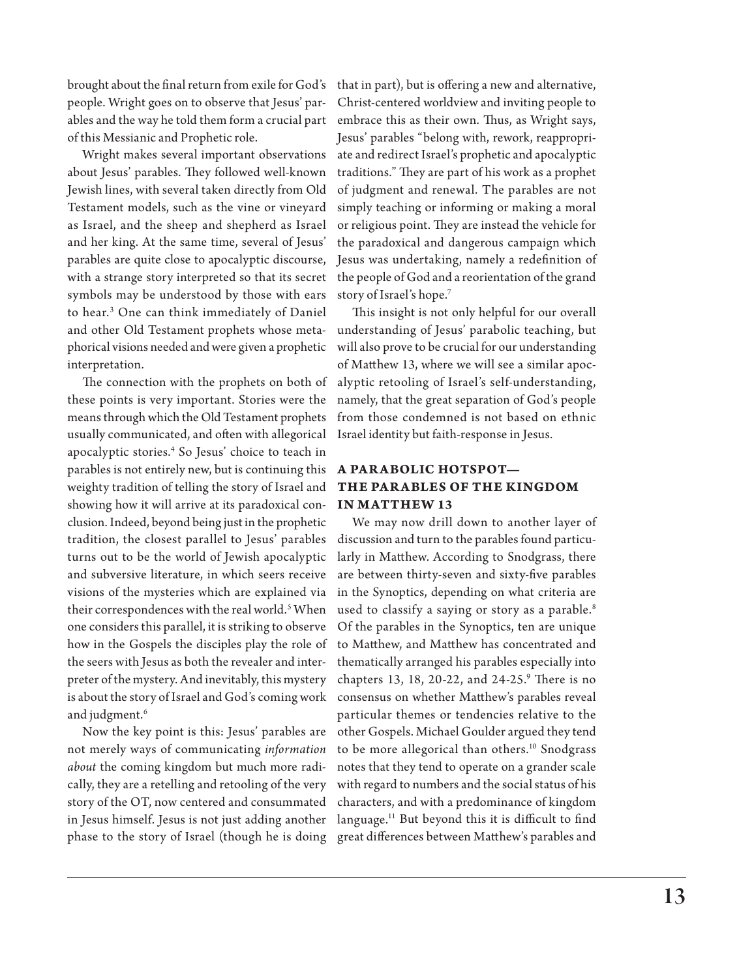brought about the final return from exile for God's people. Wright goes on to observe that Jesus' parables and the way he told them form a crucial part of this Messianic and Prophetic role.

Wright makes several important observations about Jesus' parables. They followed well-known Jewish lines, with several taken directly from Old Testament models, such as the vine or vineyard as Israel, and the sheep and shepherd as Israel and her king. At the same time, several of Jesus' parables are quite close to apocalyptic discourse, with a strange story interpreted so that its secret symbols may be understood by those with ears to hear.3 One can think immediately of Daniel and other Old Testament prophets whose metaphorical visions needed and were given a prophetic interpretation.

The connection with the prophets on both of these points is very important. Stories were the means through which the Old Testament prophets usually communicated, and often with allegorical apocalyptic stories.4 So Jesus' choice to teach in parables is not entirely new, but is continuing this weighty tradition of telling the story of Israel and showing how it will arrive at its paradoxical conclusion. Indeed, beyond being just in the prophetic tradition, the closest parallel to Jesus' parables turns out to be the world of Jewish apocalyptic and subversive literature, in which seers receive visions of the mysteries which are explained via their correspondences with the real world.<sup>5</sup> When one considers this parallel, it is striking to observe how in the Gospels the disciples play the role of the seers with Jesus as both the revealer and interpreter of the mystery. And inevitably, this mystery is about the story of Israel and God's coming work and judgment.<sup>6</sup>

Now the key point is this: Jesus' parables are not merely ways of communicating *information about* the coming kingdom but much more radically, they are a retelling and retooling of the very story of the OT, now centered and consummated in Jesus himself. Jesus is not just adding another phase to the story of Israel (though he is doing

that in part), but is offering a new and alternative, Christ-centered worldview and inviting people to embrace this as their own. Thus, as Wright says, Jesus' parables "belong with, rework, reappropriate and redirect Israel's prophetic and apocalyptic traditions." They are part of his work as a prophet of judgment and renewal. The parables are not simply teaching or informing or making a moral or religious point. They are instead the vehicle for the paradoxical and dangerous campaign which Jesus was undertaking, namely a redefinition of the people of God and a reorientation of the grand story of Israel's hope.7

This insight is not only helpful for our overall understanding of Jesus' parabolic teaching, but will also prove to be crucial for our understanding of Matthew 13, where we will see a similar apocalyptic retooling of Israel's self-understanding, namely, that the great separation of God's people from those condemned is not based on ethnic Israel identity but faith-response in Jesus.

## **A Parabolic Hotspot— The Parables of the Kingdom in Matthew 13**

We may now drill down to another layer of discussion and turn to the parables found particularly in Matthew. According to Snodgrass, there are between thirty-seven and sixty-five parables in the Synoptics, depending on what criteria are used to classify a saying or story as a parable.<sup>8</sup> Of the parables in the Synoptics, ten are unique to Matthew, and Matthew has concentrated and thematically arranged his parables especially into chapters 13, 18, 20-22, and 24-25.9 There is no consensus on whether Matthew's parables reveal particular themes or tendencies relative to the other Gospels. Michael Goulder argued they tend to be more allegorical than others.<sup>10</sup> Snodgrass notes that they tend to operate on a grander scale with regard to numbers and the social status of his characters, and with a predominance of kingdom language.<sup>11</sup> But beyond this it is difficult to find great differences between Matthew's parables and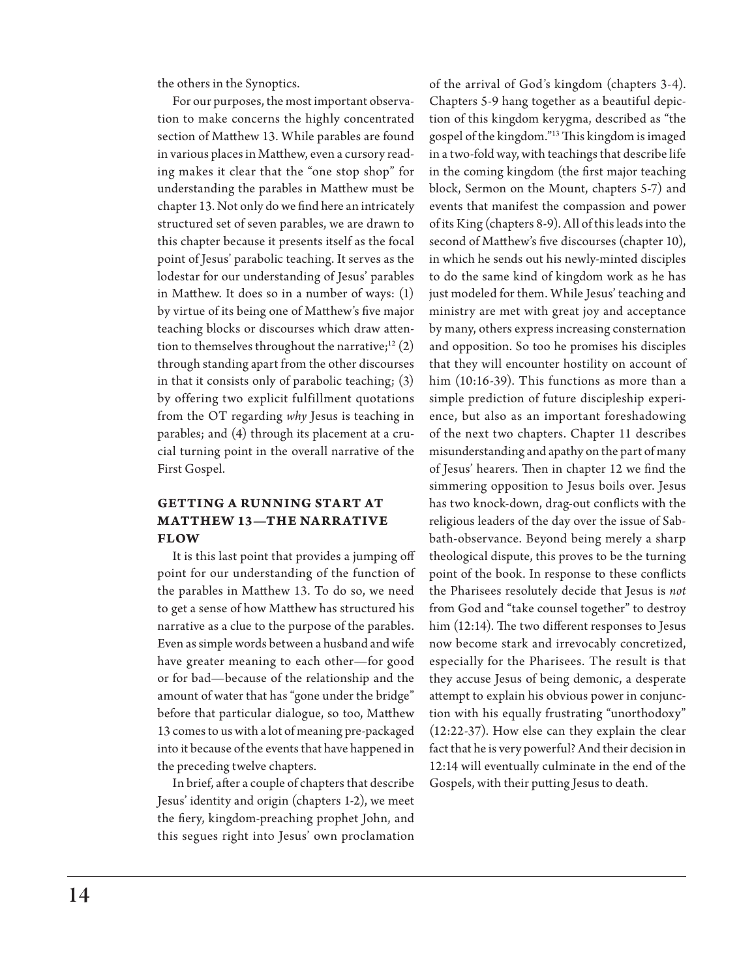the others in the Synoptics.

For our purposes, the most important observation to make concerns the highly concentrated section of Matthew 13. While parables are found in various places in Matthew, even a cursory reading makes it clear that the "one stop shop" for understanding the parables in Matthew must be chapter 13. Not only do we find here an intricately structured set of seven parables, we are drawn to this chapter because it presents itself as the focal point of Jesus' parabolic teaching. It serves as the lodestar for our understanding of Jesus' parables in Matthew. It does so in a number of ways: (1) by virtue of its being one of Matthew's five major teaching blocks or discourses which draw attention to themselves throughout the narrative; $12$  (2) through standing apart from the other discourses in that it consists only of parabolic teaching; (3) by offering two explicit fulfillment quotations from the OT regarding *why* Jesus is teaching in parables; and (4) through its placement at a crucial turning point in the overall narrative of the First Gospel.

# **Getting a Running Start at Matthew 13—The Narrative Flow**

It is this last point that provides a jumping off point for our understanding of the function of the parables in Matthew 13. To do so, we need to get a sense of how Matthew has structured his narrative as a clue to the purpose of the parables. Even as simple words between a husband and wife have greater meaning to each other—for good or for bad—because of the relationship and the amount of water that has "gone under the bridge" before that particular dialogue, so too, Matthew 13 comes to us with a lot of meaning pre-packaged into it because of the events that have happened in the preceding twelve chapters.

In brief, after a couple of chapters that describe Jesus' identity and origin (chapters 1-2), we meet the fiery, kingdom-preaching prophet John, and this segues right into Jesus' own proclamation

of the arrival of God's kingdom (chapters 3-4). Chapters 5-9 hang together as a beautiful depiction of this kingdom kerygma, described as "the gospel of the kingdom."13 This kingdom is imaged in a two-fold way, with teachings that describe life in the coming kingdom (the first major teaching block, Sermon on the Mount, chapters 5-7) and events that manifest the compassion and power of its King (chapters 8-9). All of this leads into the second of Matthew's five discourses (chapter 10), in which he sends out his newly-minted disciples to do the same kind of kingdom work as he has just modeled for them. While Jesus' teaching and ministry are met with great joy and acceptance by many, others express increasing consternation and opposition. So too he promises his disciples that they will encounter hostility on account of him (10:16-39). This functions as more than a simple prediction of future discipleship experience, but also as an important foreshadowing of the next two chapters. Chapter 11 describes misunderstanding and apathy on the part of many of Jesus' hearers. Then in chapter 12 we find the simmering opposition to Jesus boils over. Jesus has two knock-down, drag-out conflicts with the religious leaders of the day over the issue of Sabbath-observance. Beyond being merely a sharp theological dispute, this proves to be the turning point of the book. In response to these conflicts the Pharisees resolutely decide that Jesus is *not* from God and "take counsel together" to destroy him (12:14). The two different responses to Jesus now become stark and irrevocably concretized, especially for the Pharisees. The result is that they accuse Jesus of being demonic, a desperate attempt to explain his obvious power in conjunction with his equally frustrating "unorthodoxy" (12:22-37). How else can they explain the clear fact that he is very powerful? And their decision in 12:14 will eventually culminate in the end of the Gospels, with their putting Jesus to death.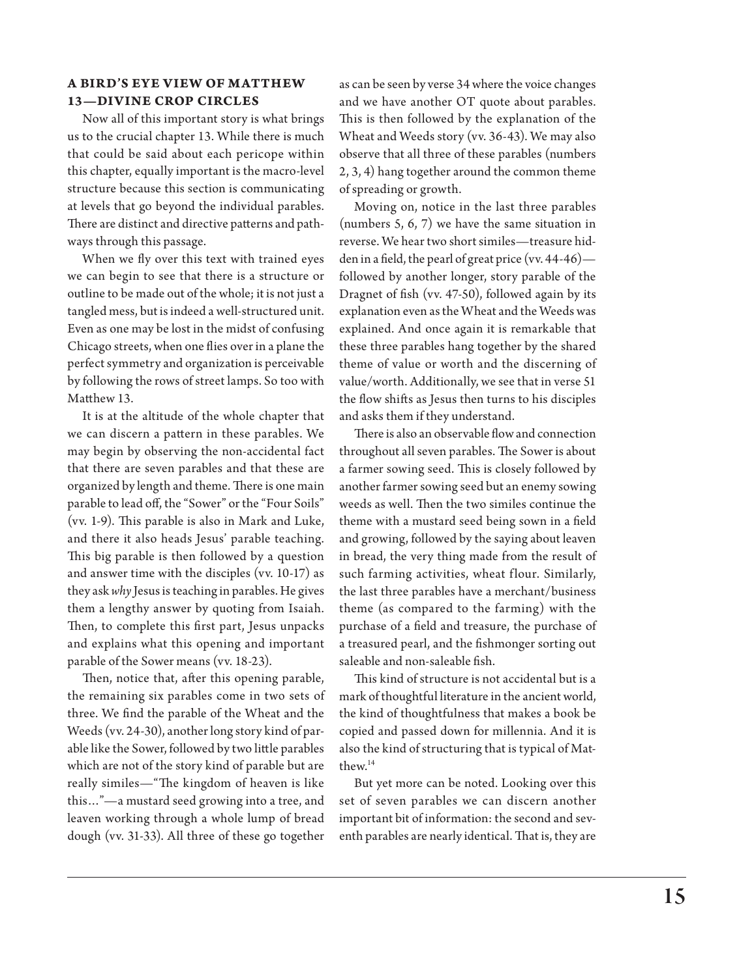### **A Bird's Eye View of Matthew 13—Divine Crop Circles**

Now all of this important story is what brings us to the crucial chapter 13. While there is much that could be said about each pericope within this chapter, equally important is the macro-level structure because this section is communicating at levels that go beyond the individual parables. There are distinct and directive patterns and pathways through this passage.

When we fly over this text with trained eyes we can begin to see that there is a structure or outline to be made out of the whole; it is not just a tangled mess, but is indeed a well-structured unit. Even as one may be lost in the midst of confusing Chicago streets, when one flies over in a plane the perfect symmetry and organization is perceivable by following the rows of street lamps. So too with Matthew 13.

It is at the altitude of the whole chapter that we can discern a pattern in these parables. We may begin by observing the non-accidental fact that there are seven parables and that these are organized by length and theme. There is one main parable to lead off, the "Sower" or the "Four Soils" (vv. 1-9). This parable is also in Mark and Luke, and there it also heads Jesus' parable teaching. This big parable is then followed by a question and answer time with the disciples (vv. 10-17) as they ask *why* Jesus is teaching in parables. He gives them a lengthy answer by quoting from Isaiah. Then, to complete this first part, Jesus unpacks and explains what this opening and important parable of the Sower means (vv. 18-23).

Then, notice that, after this opening parable, the remaining six parables come in two sets of three. We find the parable of the Wheat and the Weeds (vv. 24-30), another long story kind of parable like the Sower, followed by two little parables which are not of the story kind of parable but are really similes—"The kingdom of heaven is like this…"—a mustard seed growing into a tree, and leaven working through a whole lump of bread dough (vv. 31-33). All three of these go together

as can be seen by verse 34 where the voice changes and we have another OT quote about parables. This is then followed by the explanation of the Wheat and Weeds story (vv. 36-43). We may also observe that all three of these parables (numbers 2, 3, 4) hang together around the common theme of spreading or growth.

Moving on, notice in the last three parables (numbers 5, 6, 7) we have the same situation in reverse. We hear two short similes—treasure hidden in a field, the pearl of great price (vv. 44-46) followed by another longer, story parable of the Dragnet of fish (vv. 47-50), followed again by its explanation even as the Wheat and the Weeds was explained. And once again it is remarkable that these three parables hang together by the shared theme of value or worth and the discerning of value/worth. Additionally, we see that in verse 51 the flow shifts as Jesus then turns to his disciples and asks them if they understand.

There is also an observable flow and connection throughout all seven parables. The Sower is about a farmer sowing seed. This is closely followed by another farmer sowing seed but an enemy sowing weeds as well. Then the two similes continue the theme with a mustard seed being sown in a field and growing, followed by the saying about leaven in bread, the very thing made from the result of such farming activities, wheat flour. Similarly, the last three parables have a merchant/business theme (as compared to the farming) with the purchase of a field and treasure, the purchase of a treasured pearl, and the fishmonger sorting out saleable and non-saleable fish.

This kind of structure is not accidental but is a mark of thoughtful literature in the ancient world, the kind of thoughtfulness that makes a book be copied and passed down for millennia. And it is also the kind of structuring that is typical of Matthew.14

But yet more can be noted. Looking over this set of seven parables we can discern another important bit of information: the second and seventh parables are nearly identical. That is, they are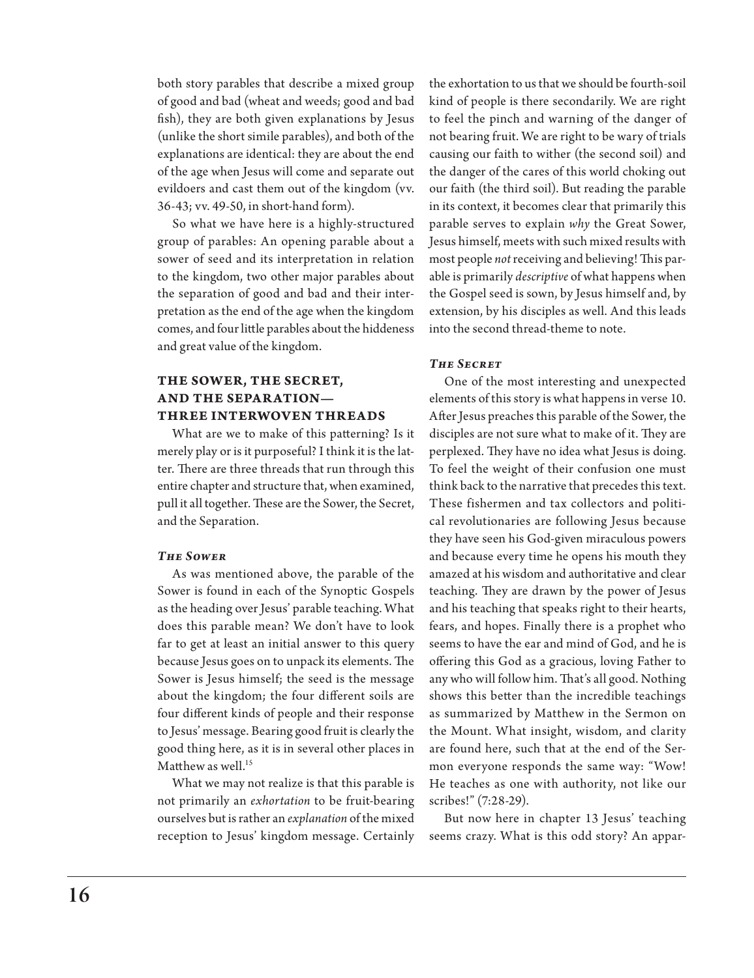both story parables that describe a mixed group of good and bad (wheat and weeds; good and bad fish), they are both given explanations by Jesus (unlike the short simile parables), and both of the explanations are identical: they are about the end of the age when Jesus will come and separate out evildoers and cast them out of the kingdom (vv. 36-43; vv. 49-50, in short-hand form).

So what we have here is a highly-structured group of parables: An opening parable about a sower of seed and its interpretation in relation to the kingdom, two other major parables about the separation of good and bad and their interpretation as the end of the age when the kingdom comes, and four little parables about the hiddeness and great value of the kingdom.

## **The Sower, The Secret, and the Separation— Three Interwoven Threads**

What are we to make of this patterning? Is it merely play or is it purposeful? I think it is the latter. There are three threads that run through this entire chapter and structure that, when examined, pull it all together. These are the Sower, the Secret, and the Separation.

#### *The Sower*

As was mentioned above, the parable of the Sower is found in each of the Synoptic Gospels as the heading over Jesus' parable teaching. What does this parable mean? We don't have to look far to get at least an initial answer to this query because Jesus goes on to unpack its elements. The Sower is Jesus himself; the seed is the message about the kingdom; the four different soils are four different kinds of people and their response to Jesus' message. Bearing good fruit is clearly the good thing here, as it is in several other places in Matthew as well.<sup>15</sup>

What we may not realize is that this parable is not primarily an *exhortation* to be fruit-bearing ourselves but is rather an *explanation* of the mixed reception to Jesus' kingdom message. Certainly

the exhortation to us that we should be fourth-soil kind of people is there secondarily. We are right to feel the pinch and warning of the danger of not bearing fruit. We are right to be wary of trials causing our faith to wither (the second soil) and the danger of the cares of this world choking out our faith (the third soil). But reading the parable in its context, it becomes clear that primarily this parable serves to explain *why* the Great Sower, Jesus himself, meets with such mixed results with most people *not* receiving and believing! This parable is primarily *descriptive* of what happens when the Gospel seed is sown, by Jesus himself and, by extension, by his disciples as well. And this leads into the second thread-theme to note.

#### *The Secret*

One of the most interesting and unexpected elements of this story is what happens in verse 10. After Jesus preaches this parable of the Sower, the disciples are not sure what to make of it. They are perplexed. They have no idea what Jesus is doing. To feel the weight of their confusion one must think back to the narrative that precedes this text. These fishermen and tax collectors and political revolutionaries are following Jesus because they have seen his God-given miraculous powers and because every time he opens his mouth they amazed at his wisdom and authoritative and clear teaching. They are drawn by the power of Jesus and his teaching that speaks right to their hearts, fears, and hopes. Finally there is a prophet who seems to have the ear and mind of God, and he is offering this God as a gracious, loving Father to any who will follow him. That's all good. Nothing shows this better than the incredible teachings as summarized by Matthew in the Sermon on the Mount. What insight, wisdom, and clarity are found here, such that at the end of the Sermon everyone responds the same way: "Wow! He teaches as one with authority, not like our scribes!" (7:28-29).

But now here in chapter 13 Jesus' teaching seems crazy. What is this odd story? An appar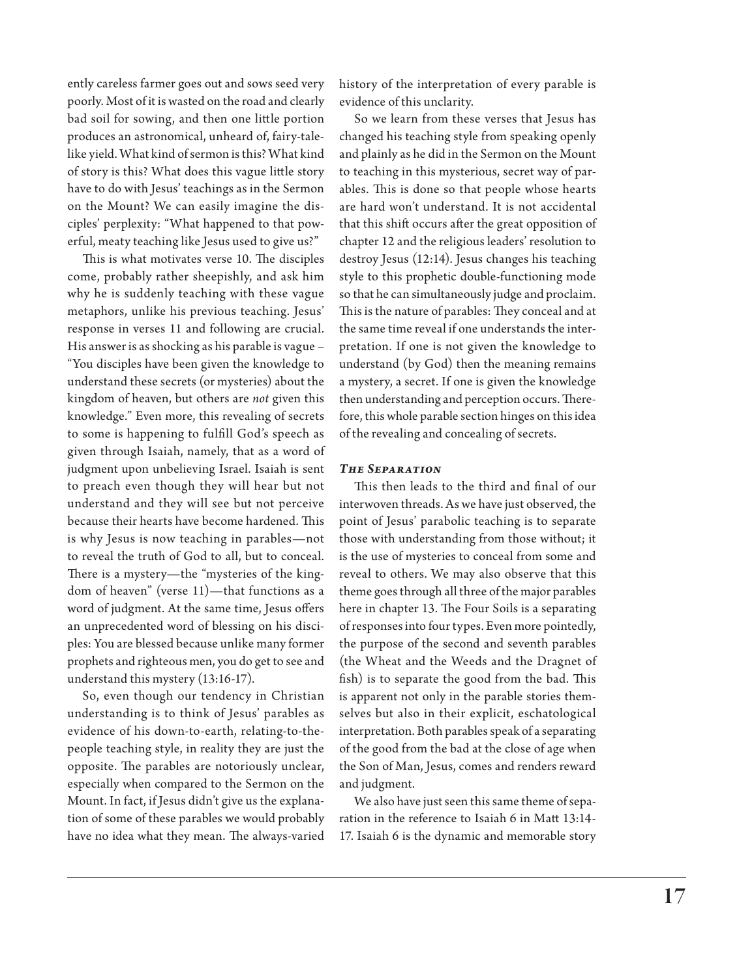ently careless farmer goes out and sows seed very poorly. Most of it is wasted on the road and clearly bad soil for sowing, and then one little portion produces an astronomical, unheard of, fairy-talelike yield. What kind of sermon is this? What kind of story is this? What does this vague little story have to do with Jesus' teachings as in the Sermon on the Mount? We can easily imagine the disciples' perplexity: "What happened to that powerful, meaty teaching like Jesus used to give us?"

This is what motivates verse 10. The disciples come, probably rather sheepishly, and ask him why he is suddenly teaching with these vague metaphors, unlike his previous teaching. Jesus' response in verses 11 and following are crucial. His answer is as shocking as his parable is vague – "You disciples have been given the knowledge to understand these secrets (or mysteries) about the kingdom of heaven, but others are *not* given this knowledge." Even more, this revealing of secrets to some is happening to fulfill God's speech as given through Isaiah, namely, that as a word of judgment upon unbelieving Israel. Isaiah is sent to preach even though they will hear but not understand and they will see but not perceive because their hearts have become hardened. This is why Jesus is now teaching in parables—not to reveal the truth of God to all, but to conceal. There is a mystery—the "mysteries of the kingdom of heaven" (verse 11)—that functions as a word of judgment. At the same time, Jesus offers an unprecedented word of blessing on his disciples: You are blessed because unlike many former prophets and righteous men, you do get to see and understand this mystery (13:16-17).

So, even though our tendency in Christian understanding is to think of Jesus' parables as evidence of his down-to-earth, relating-to-thepeople teaching style, in reality they are just the opposite. The parables are notoriously unclear, especially when compared to the Sermon on the Mount. In fact, if Jesus didn't give us the explanation of some of these parables we would probably have no idea what they mean. The always-varied

history of the interpretation of every parable is evidence of this unclarity.

So we learn from these verses that Jesus has changed his teaching style from speaking openly and plainly as he did in the Sermon on the Mount to teaching in this mysterious, secret way of parables. This is done so that people whose hearts are hard won't understand. It is not accidental that this shift occurs after the great opposition of chapter 12 and the religious leaders' resolution to destroy Jesus (12:14). Jesus changes his teaching style to this prophetic double-functioning mode so that he can simultaneously judge and proclaim. This is the nature of parables: They conceal and at the same time reveal if one understands the interpretation. If one is not given the knowledge to understand (by God) then the meaning remains a mystery, a secret. If one is given the knowledge then understanding and perception occurs. Therefore, this whole parable section hinges on this idea of the revealing and concealing of secrets.

#### *The Separation*

This then leads to the third and final of our interwoven threads. As we have just observed, the point of Jesus' parabolic teaching is to separate those with understanding from those without; it is the use of mysteries to conceal from some and reveal to others. We may also observe that this theme goes through all three of the major parables here in chapter 13. The Four Soils is a separating of responses into four types. Even more pointedly, the purpose of the second and seventh parables (the Wheat and the Weeds and the Dragnet of fish) is to separate the good from the bad. This is apparent not only in the parable stories themselves but also in their explicit, eschatological interpretation. Both parables speak of a separating of the good from the bad at the close of age when the Son of Man, Jesus, comes and renders reward and judgment.

We also have just seen this same theme of separation in the reference to Isaiah 6 in Matt 13:14- 17. Isaiah 6 is the dynamic and memorable story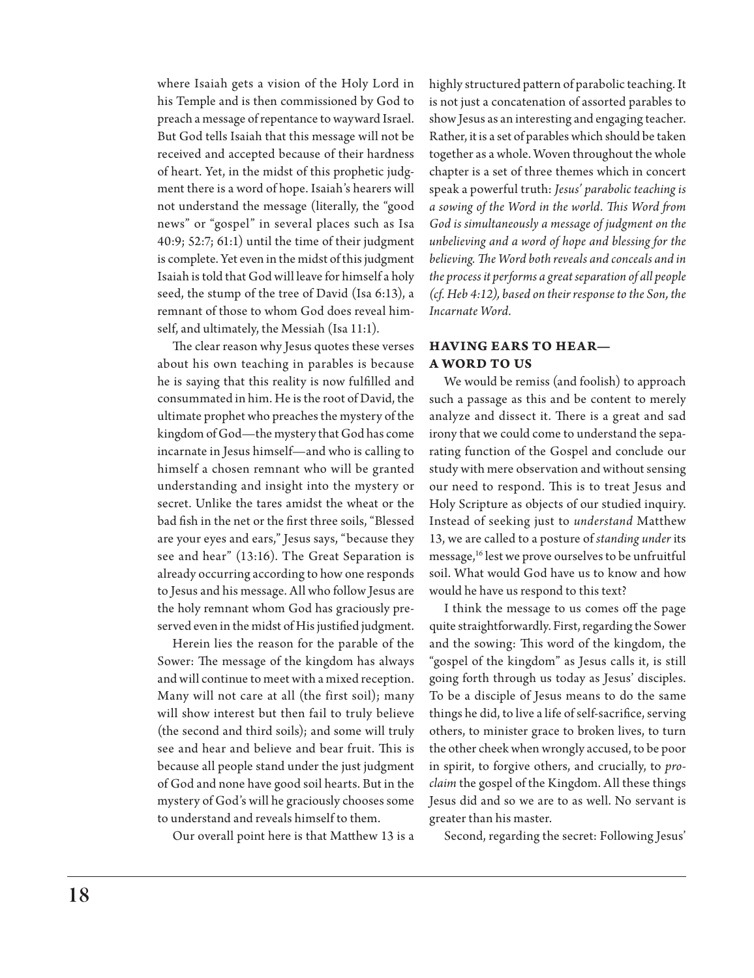where Isaiah gets a vision of the Holy Lord in his Temple and is then commissioned by God to preach a message of repentance to wayward Israel. But God tells Isaiah that this message will not be received and accepted because of their hardness of heart. Yet, in the midst of this prophetic judgment there is a word of hope. Isaiah's hearers will not understand the message (literally, the "good news" or "gospel" in several places such as Isa 40:9; 52:7; 61:1) until the time of their judgment is complete. Yet even in the midst of this judgment Isaiah is told that God will leave for himself a holy seed, the stump of the tree of David (Isa 6:13), a remnant of those to whom God does reveal himself, and ultimately, the Messiah (Isa 11:1).

The clear reason why Jesus quotes these verses about his own teaching in parables is because he is saying that this reality is now fulfilled and consummated in him. He is the root of David, the ultimate prophet who preaches the mystery of the kingdom of God—the mystery that God has come incarnate in Jesus himself—and who is calling to himself a chosen remnant who will be granted understanding and insight into the mystery or secret. Unlike the tares amidst the wheat or the bad fish in the net or the first three soils, "Blessed are your eyes and ears," Jesus says, "because they see and hear" (13:16). The Great Separation is already occurring according to how one responds to Jesus and his message. All who follow Jesus are the holy remnant whom God has graciously preserved even in the midst of His justified judgment.

Herein lies the reason for the parable of the Sower: The message of the kingdom has always and will continue to meet with a mixed reception. Many will not care at all (the first soil); many will show interest but then fail to truly believe (the second and third soils); and some will truly see and hear and believe and bear fruit. This is because all people stand under the just judgment of God and none have good soil hearts. But in the mystery of God's will he graciously chooses some to understand and reveals himself to them.

Our overall point here is that Matthew 13 is a

highly structured pattern of parabolic teaching. It is not just a concatenation of assorted parables to show Jesus as an interesting and engaging teacher. Rather, it is a set of parables which should be taken together as a whole. Woven throughout the whole chapter is a set of three themes which in concert speak a powerful truth: *Jesus' parabolic teaching is a sowing of the Word in the world. This Word from God is simultaneously a message of judgment on the unbelieving and a word of hope and blessing for the believing. The Word both reveals and conceals and in the process it performs a great separation of all people (cf. Heb 4:12), based on their response to the Son, the Incarnate Word.*

## **Having Ears to Hear— A Word to Us**

We would be remiss (and foolish) to approach such a passage as this and be content to merely analyze and dissect it. There is a great and sad irony that we could come to understand the separating function of the Gospel and conclude our study with mere observation and without sensing our need to respond. This is to treat Jesus and Holy Scripture as objects of our studied inquiry. Instead of seeking just to *understand* Matthew 13, we are called to a posture of *standing under* its message,<sup>16</sup> lest we prove ourselves to be unfruitful soil. What would God have us to know and how would he have us respond to this text?

I think the message to us comes off the page quite straightforwardly. First, regarding the Sower and the sowing: This word of the kingdom, the "gospel of the kingdom" as Jesus calls it, is still going forth through us today as Jesus' disciples. To be a disciple of Jesus means to do the same things he did, to live a life of self-sacrifice, serving others, to minister grace to broken lives, to turn the other cheek when wrongly accused, to be poor in spirit, to forgive others, and crucially, to *proclaim* the gospel of the Kingdom. All these things Jesus did and so we are to as well. No servant is greater than his master.

Second, regarding the secret: Following Jesus'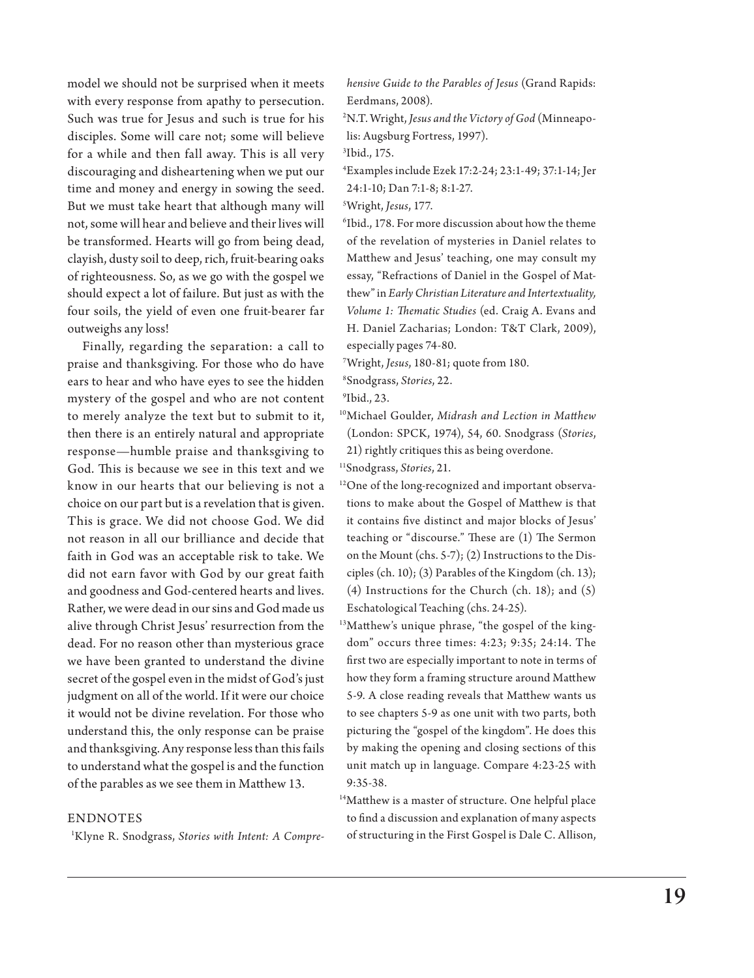model we should not be surprised when it meets with every response from apathy to persecution. Such was true for Jesus and such is true for his disciples. Some will care not; some will believe for a while and then fall away. This is all very discouraging and disheartening when we put our time and money and energy in sowing the seed. But we must take heart that although many will not, some will hear and believe and their lives will be transformed. Hearts will go from being dead, clayish, dusty soil to deep, rich, fruit-bearing oaks of righteousness. So, as we go with the gospel we should expect a lot of failure. But just as with the four soils, the yield of even one fruit-bearer far outweighs any loss!

Finally, regarding the separation: a call to praise and thanksgiving. For those who do have ears to hear and who have eyes to see the hidden mystery of the gospel and who are not content to merely analyze the text but to submit to it, then there is an entirely natural and appropriate response—humble praise and thanksgiving to God. This is because we see in this text and we know in our hearts that our believing is not a choice on our part but is a revelation that is given. This is grace. We did not choose God. We did not reason in all our brilliance and decide that faith in God was an acceptable risk to take. We did not earn favor with God by our great faith and goodness and God-centered hearts and lives. Rather, we were dead in our sins and God made us alive through Christ Jesus' resurrection from the dead. For no reason other than mysterious grace we have been granted to understand the divine secret of the gospel even in the midst of God's just judgment on all of the world. If it were our choice it would not be divine revelation. For those who understand this, the only response can be praise and thanksgiving. Any response less than this fails to understand what the gospel is and the function of the parables as we see them in Matthew 13.

#### **ENDNOTES**

1 Klyne R. Snodgrass, *Stories with Intent: A Compre-*

*hensive Guide to the Parables of Jesus* (Grand Rapids: Eerdmans, 2008).

2 N.T. Wright, *Jesus and the Victory of God* (Minneapolis: Augsburg Fortress, 1997).

3 Ibid., 175.

4 Examples include Ezek 17:2-24; 23:1-49; 37:1-14; Jer 24:1-10; Dan 7:1-8; 8:1-27.

5 Wright, *Jesus*, 177.

6 Ibid., 178. For more discussion about how the theme of the revelation of mysteries in Daniel relates to Matthew and Jesus' teaching, one may consult my essay, "Refractions of Daniel in the Gospel of Matthew" in *Early Christian Literature and Intertextuality, Volume 1: Thematic Studies* (ed. Craig A. Evans and H. Daniel Zacharias; London: T&T Clark, 2009), especially pages 74-80.

7 Wright, *Jesus*, 180-81; quote from 180.

8 Snodgrass, *Stories*, 22.

9 Ibid., 23.

10Michael Goulder, *Midrash and Lection in Matthew* (London: SPCK, 1974), 54, 60. Snodgrass (*Stories*, 21) rightly critiques this as being overdone.

11Snodgrass, *Stories*, 21.

- <sup>12</sup>One of the long-recognized and important observations to make about the Gospel of Matthew is that it contains five distinct and major blocks of Jesus' teaching or "discourse." These are (1) The Sermon on the Mount (chs. 5-7); (2) Instructions to the Disciples (ch. 10); (3) Parables of the Kingdom (ch. 13); (4) Instructions for the Church (ch. 18); and (5) Eschatological Teaching (chs. 24-25).
- <sup>13</sup>Matthew's unique phrase, "the gospel of the kingdom" occurs three times: 4:23; 9:35; 24:14. The first two are especially important to note in terms of how they form a framing structure around Matthew 5-9. A close reading reveals that Matthew wants us to see chapters 5-9 as one unit with two parts, both picturing the "gospel of the kingdom". He does this by making the opening and closing sections of this unit match up in language. Compare 4:23-25 with 9:35-38.
- 14Matthew is a master of structure. One helpful place to find a discussion and explanation of many aspects of structuring in the First Gospel is Dale C. Allison,